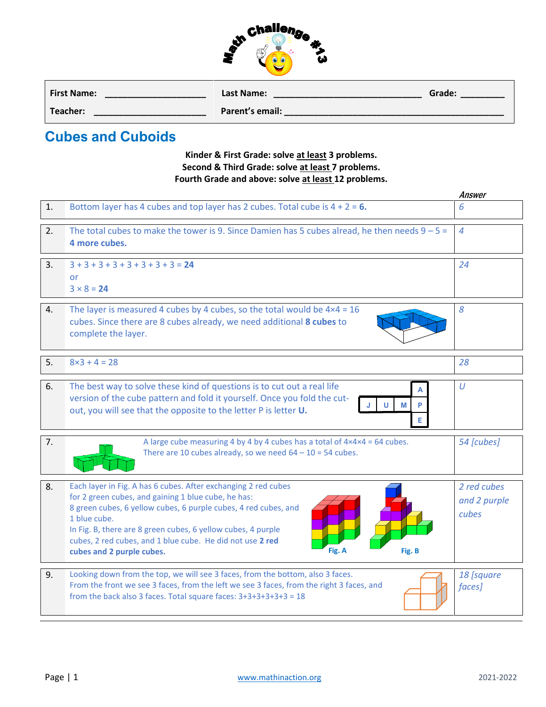| challenge |  |
|-----------|--|
|           |  |

| <b>First Name:</b> | Last Name:      | Grade: |
|--------------------|-----------------|--------|
| Teacher:           | Parent's email: |        |

## **Cubes and Cuboids**

## **Kinder & First Grade: solve at least 3 problems. Second & Third Grade: solve at least 7 problems. Fourth Grade and above: solve at least 12 problems.**

|    |                                                                                                                                                                                                                                                                                                                                                                                        | Answer                               |  |  |  |
|----|----------------------------------------------------------------------------------------------------------------------------------------------------------------------------------------------------------------------------------------------------------------------------------------------------------------------------------------------------------------------------------------|--------------------------------------|--|--|--|
| 1. | Bottom layer has 4 cubes and top layer has 2 cubes. Total cube is $4 + 2 = 6$ .                                                                                                                                                                                                                                                                                                        | 6                                    |  |  |  |
| 2. | The total cubes to make the tower is 9. Since Damien has 5 cubes alread, he then needs $9 - 5 =$<br>4 more cubes.                                                                                                                                                                                                                                                                      |                                      |  |  |  |
| 3. | $3+3+3+3+3+3+3+3=24$<br>or<br>$3 × 8 = 24$                                                                                                                                                                                                                                                                                                                                             | 24                                   |  |  |  |
| 4. | The layer is measured 4 cubes by 4 cubes, so the total would be $4 \times 4 = 16$<br>cubes. Since there are 8 cubes already, we need additional 8 cubes to<br>complete the layer.                                                                                                                                                                                                      | 8                                    |  |  |  |
| 5. | $8\times3 + 4 = 28$                                                                                                                                                                                                                                                                                                                                                                    | 28                                   |  |  |  |
| 6. | The best way to solve these kind of questions is to cut out a real life<br>version of the cube pattern and fold it yourself. Once you fold the cut-<br>М<br>out, you will see that the opposite to the letter P is letter U.<br>E.                                                                                                                                                     | $\cup$                               |  |  |  |
| 7. | A large cube measuring 4 by 4 by 4 cubes has a total of $4 \times 4 \times 4 = 64$ cubes.<br>There are 10 cubes already, so we need $64 - 10 = 54$ cubes.                                                                                                                                                                                                                              | 54 [cubes]                           |  |  |  |
| 8. | Each layer in Fig. A has 6 cubes. After exchanging 2 red cubes<br>for 2 green cubes, and gaining 1 blue cube, he has:<br>8 green cubes, 6 yellow cubes, 6 purple cubes, 4 red cubes, and<br>1 blue cube.<br>In Fig. B, there are 8 green cubes, 6 yellow cubes, 4 purple<br>cubes, 2 red cubes, and 1 blue cube. He did not use 2 red<br>cubes and 2 purple cubes.<br>Fig. A<br>Fig. B | 2 red cubes<br>and 2 purple<br>cubes |  |  |  |
| 9. | Looking down from the top, we will see 3 faces, from the bottom, also 3 faces.<br>From the front we see 3 faces, from the left we see 3 faces, from the right 3 faces, and<br>from the back also 3 faces. Total square faces: $3+3+3+3+3+3=18$                                                                                                                                         | 18 [square<br>faces]                 |  |  |  |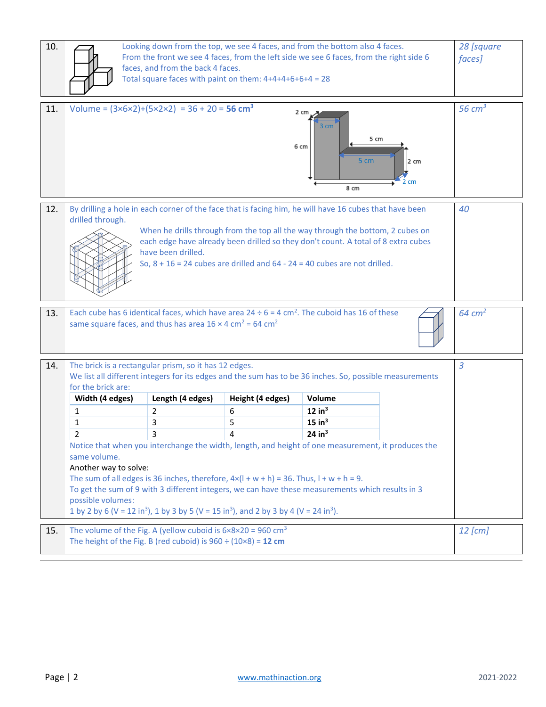| 10. | Looking down from the top, we see 4 faces, and from the bottom also 4 faces.<br>From the front we see 4 faces, from the left side we see 6 faces, from the right side 6<br>faces, and from the back 4 faces.<br>Total square faces with paint on them: $4+4+4+6+6+4 = 28$                                                                                                                                |                                                                                                                                       |                                 |                                                                              |                      | 28 [square<br><i>faces</i> ] |
|-----|----------------------------------------------------------------------------------------------------------------------------------------------------------------------------------------------------------------------------------------------------------------------------------------------------------------------------------------------------------------------------------------------------------|---------------------------------------------------------------------------------------------------------------------------------------|---------------------------------|------------------------------------------------------------------------------|----------------------|------------------------------|
| 11. | Volume = $(3 \times 6 \times 2) + (5 \times 2 \times 2) = 36 + 20 = 56$ cm <sup>3</sup>                                                                                                                                                                                                                                                                                                                  |                                                                                                                                       |                                 | $2 \text{ cm}$<br>3 <sub>cm</sub><br>6 cm<br>5 cm<br>8 cm                    | 5 cm<br>2 cm<br>2 cm | 56 $cm3$                     |
| 12. | By drilling a hole in each corner of the face that is facing him, he will have 16 cubes that have been<br>drilled through.<br>When he drills through from the top all the way through the bottom, 2 cubes on<br>each edge have already been drilled so they don't count. A total of 8 extra cubes<br>have been drilled.<br>So, $8 + 16 = 24$ cubes are drilled and $64 - 24 = 40$ cubes are not drilled. |                                                                                                                                       |                                 |                                                                              |                      | 40                           |
| 13. | Each cube has 6 identical faces, which have area $24 \div 6 = 4$ cm <sup>2</sup> . The cuboid has 16 of these<br>same square faces, and thus has area $16 \times 4$ cm <sup>2</sup> = 64 cm <sup>2</sup>                                                                                                                                                                                                 |                                                                                                                                       |                                 |                                                                              |                      | $64 \text{ cm}^2$            |
| 14. | The brick is a rectangular prism, so it has 12 edges.<br>We list all different integers for its edges and the sum has to be 36 inches. So, possible measurements<br>for the brick are:<br>Width (4 edges)<br>1<br>1<br>2<br>same volume.<br>Another way to solve:<br>The sum of all edges is 36 inches, therefore, $4 \times (1 + w + h) = 36$ . Thus, $1 + w + h = 9$ .                                 | Length (4 edges)<br>2<br>3<br>3<br>Notice that when you interchange the width, length, and height of one measurement, it produces the | Height (4 edges)<br>6<br>5<br>4 | Volume<br>12 in <sup>3</sup><br>$15$ in <sup>3</sup><br>$24$ in <sup>3</sup> |                      | $\overline{3}$               |
| 15. | To get the sum of 9 with 3 different integers, we can have these measurements which results in 3<br>possible volumes:<br>1 by 2 by 6 (V = 12 in <sup>3</sup> ), 1 by 3 by 5 (V = 15 in <sup>3</sup> ), and 2 by 3 by 4 (V = 24 in <sup>3</sup> ).<br>The volume of the Fig. A (yellow cuboid is $6 \times 8 \times 20 = 960$ cm <sup>3</sup>                                                             |                                                                                                                                       |                                 |                                                                              |                      |                              |
|     | $12$ [cm]<br>The height of the Fig. B (red cuboid) is $960 \div (10 \times 8) = 12$ cm                                                                                                                                                                                                                                                                                                                   |                                                                                                                                       |                                 |                                                                              |                      |                              |